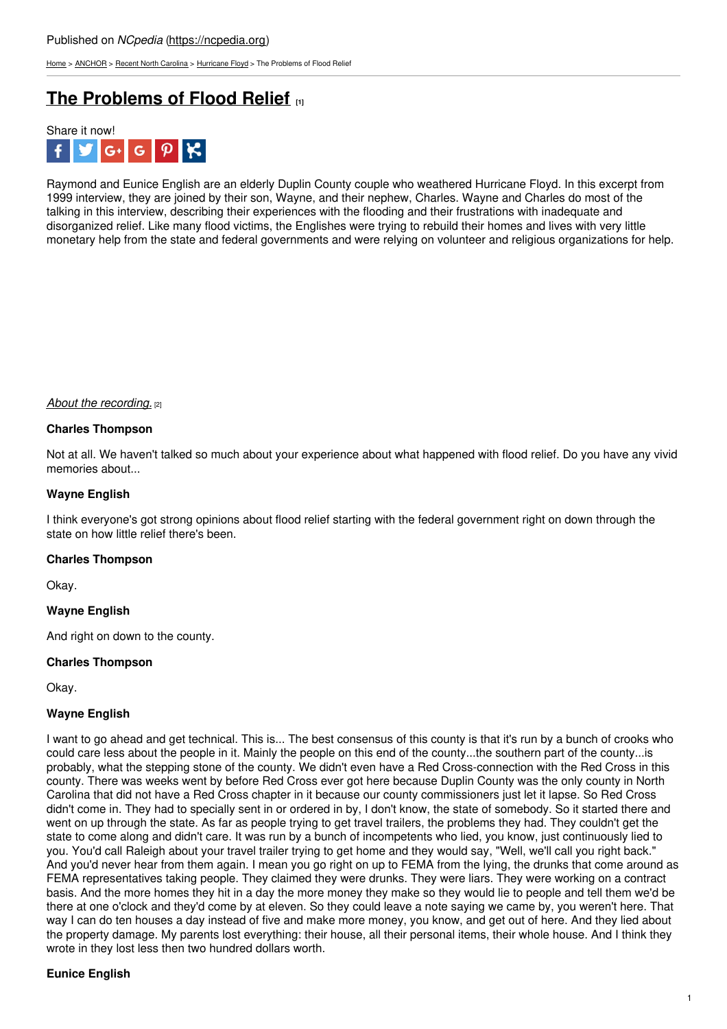[Home](https://ncpedia.org/) > [ANCHOR](https://ncpedia.org/anchor/anchor) > Recent North [Carolina](https://ncpedia.org/anchor/recent-north-carolina) > [Hurricane](https://ncpedia.org/anchor/hurricane-floyd) Floyd > The Problems of Flood Relief

# **The [Problems](https://ncpedia.org/anchor/problems-flood-relief) of Flood Relief [1]**



Raymond and Eunice English are an elderly Duplin County couple who weathered Hurricane Floyd. In this excerpt from 1999 interview, they are joined by their son, Wayne, and their nephew, Charles. Wayne and Charles do most of the talking in this interview, describing their experiences with the flooding and their frustrations with inadequate and disorganized relief. Like many flood victims, the Englishes were trying to rebuild their homes and lives with very little monetary help from the state and federal governments and were relying on volunteer and religious organizations for help.

#### *About the [recording.](https://ncpedia.org/media/audio/flood-relief-wayne)* [2]

#### **Charles Thompson**

Not at all. We haven't talked so much about your experience about what happened with flood relief. Do you have any vivid memories about...

#### **Wayne English**

I think everyone's got strong opinions about flood relief starting with the federal government right on down through the state on how little relief there's been.

#### **Charles Thompson**

Okay.

#### **Wayne English**

And right on down to the county.

#### **Charles Thompson**

Okay.

#### **Wayne English**

I want to go ahead and get technical. This is... The best consensus of this county is that it's run by a bunch of crooks who could care less about the people in it. Mainly the people on this end of the county...the southern part of the county...is probably, what the stepping stone of the county. We didn't even have a Red Cross-connection with the Red Cross in this county. There was weeks went by before Red Cross ever got here because Duplin County was the only county in North Carolina that did not have a Red Cross chapter in it because our county commissioners just let it lapse. So Red Cross didn't come in. They had to specially sent in or ordered in by, I don't know, the state of somebody. So it started there and went on up through the state. As far as people trying to get travel trailers, the problems they had. They couldn't get the state to come along and didn't care. It was run by a bunch of incompetents who lied, you know, just continuously lied to you. You'd call Raleigh about your travel trailer trying to get home and they would say, "Well, we'll call you right back." And you'd never hear from them again. I mean you go right on up to FEMA from the lying, the drunks that come around as FEMA representatives taking people. They claimed they were drunks. They were liars. They were working on a contract basis. And the more homes they hit in a day the more money they make so they would lie to people and tell them we'd be there at one o'clock and they'd come by at eleven. So they could leave a note saying we came by, you weren't here. That way I can do ten houses a day instead of five and make more money, you know, and get out of here. And they lied about the property damage. My parents lost everything: their house, all their personal items, their whole house. And I think they wrote in they lost less then two hundred dollars worth.

## **Eunice English**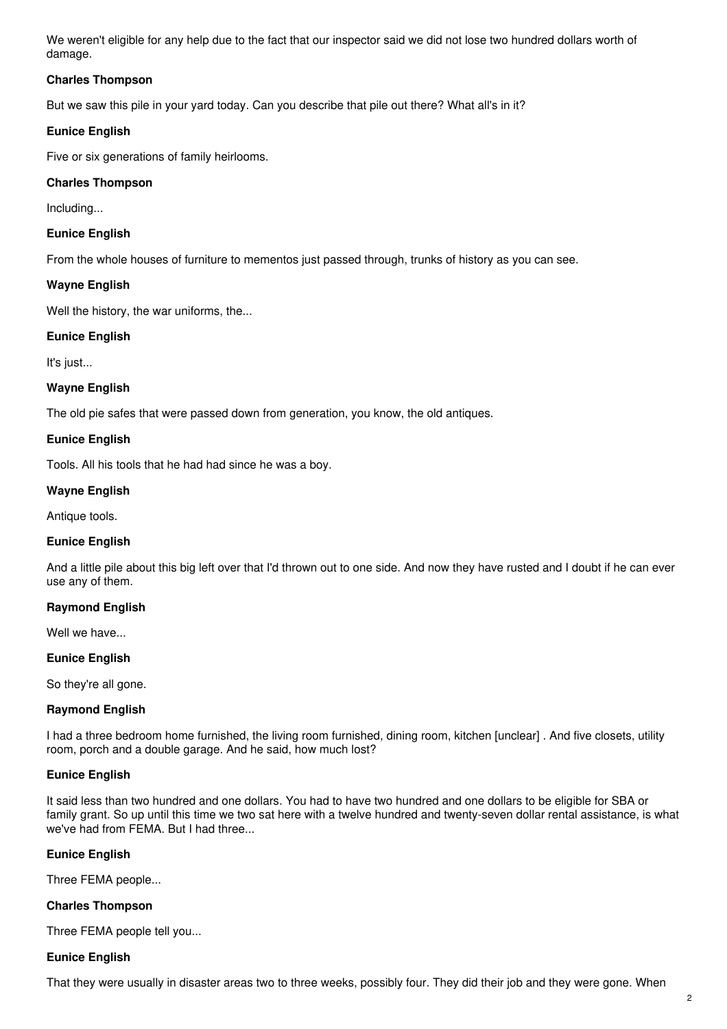We weren't eligible for any help due to the fact that our inspector said we did not lose two hundred dollars worth of damage.

## **Charles Thompson**

But we saw this pile in your yard today. Can you describe that pile out there? What all's in it?

#### **Eunice English**

Five or six generations of family heirlooms.

## **Charles Thompson**

Including...

#### **Eunice English**

From the whole houses of furniture to mementos just passed through, trunks of history as you can see.

#### **Wayne English**

Well the history, the war uniforms, the...

#### **Eunice English**

It's just...

#### **Wayne English**

The old pie safes that were passed down from generation, you know, the old antiques.

#### **Eunice English**

Tools. All his tools that he had had since he was a boy.

#### **Wayne English**

Antique tools.

#### **Eunice English**

And a little pile about this big left over that I'd thrown out to one side. And now they have rusted and I doubt if he can ever use any of them.

## **Raymond English**

Well we have...

#### **Eunice English**

So they're all gone.

## **Raymond English**

I had a three bedroom home furnished, the living room furnished, dining room, kitchen [unclear] . And five closets, utility room, porch and a double garage. And he said, how much lost?

#### **Eunice English**

It said less than two hundred and one dollars. You had to have two hundred and one dollars to be eligible for SBA or family grant. So up until this time we two sat here with a twelve hundred and twenty-seven dollar rental assistance, is what we've had from FEMA. But I had three...

## **Eunice English**

Three FEMA people...

#### **Charles Thompson**

Three FEMA people tell you...

#### **Eunice English**

That they were usually in disaster areas two to three weeks, possibly four. They did their job and they were gone. When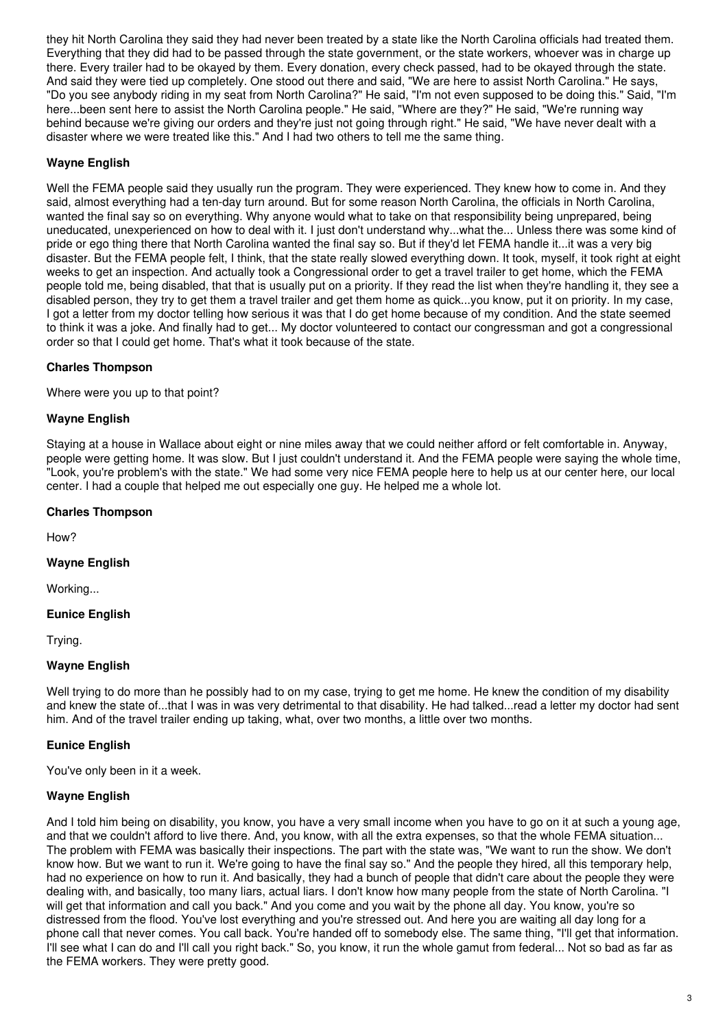they hit North Carolina they said they had never been treated by a state like the North Carolina officials had treated them. Everything that they did had to be passed through the state government, or the state workers, whoever was in charge up there. Every trailer had to be okayed by them. Every donation, every check passed, had to be okayed through the state. And said they were tied up completely. One stood out there and said, "We are here to assist North Carolina." He says, "Do you see anybody riding in my seat from North Carolina?" He said, "I'm not even supposed to be doing this." Said, "I'm here...been sent here to assist the North Carolina people." He said, "Where are they?" He said, "We're running way behind because we're giving our orders and they're just not going through right." He said, "We have never dealt with a disaster where we were treated like this." And I had two others to tell me the same thing.

## **Wayne English**

Well the FEMA people said they usually run the program. They were experienced. They knew how to come in. And they said, almost everything had a ten-day turn around. But for some reason North Carolina, the officials in North Carolina, wanted the final say so on everything. Why anyone would what to take on that responsibility being unprepared, being uneducated, unexperienced on how to deal with it. I just don't understand why...what the... Unless there was some kind of pride or ego thing there that North Carolina wanted the final say so. But if they'd let FEMA handle it...it was a very big disaster. But the FEMA people felt, I think, that the state really slowed everything down. It took, myself, it took right at eight weeks to get an inspection. And actually took a Congressional order to get a travel trailer to get home, which the FEMA people told me, being disabled, that that is usually put on a priority. If they read the list when they're handling it, they see a disabled person, they try to get them a travel trailer and get them home as quick...you know, put it on priority. In my case, I got a letter from my doctor telling how serious it was that I do get home because of my condition. And the state seemed to think it was a joke. And finally had to get... My doctor volunteered to contact our congressman and got a congressional order so that I could get home. That's what it took because of the state.

## **Charles Thompson**

Where were you up to that point?

## **Wayne English**

Staying at a house in Wallace about eight or nine miles away that we could neither afford or felt comfortable in. Anyway, people were getting home. It was slow. But I just couldn't understand it. And the FEMA people were saying the whole time, "Look, you're problem's with the state." We had some very nice FEMA people here to help us at our center here, our local center. I had a couple that helped me out especially one guy. He helped me a whole lot.

## **Charles Thompson**

How?

## **Wayne English**

Working...

## **Eunice English**

Trying.

## **Wayne English**

Well trying to do more than he possibly had to on my case, trying to get me home. He knew the condition of my disability and knew the state of...that I was in was very detrimental to that disability. He had talked...read a letter my doctor had sent him. And of the travel trailer ending up taking, what, over two months, a little over two months.

## **Eunice English**

You've only been in it a week.

## **Wayne English**

And I told him being on disability, you know, you have a very small income when you have to go on it at such a young age, and that we couldn't afford to live there. And, you know, with all the extra expenses, so that the whole FEMA situation... The problem with FEMA was basically their inspections. The part with the state was, "We want to run the show. We don't know how. But we want to run it. We're going to have the final say so." And the people they hired, all this temporary help, had no experience on how to run it. And basically, they had a bunch of people that didn't care about the people they were dealing with, and basically, too many liars, actual liars. I don't know how many people from the state of North Carolina. "I will get that information and call you back." And you come and you wait by the phone all day. You know, you're so distressed from the flood. You've lost everything and you're stressed out. And here you are waiting all day long for a phone call that never comes. You call back. You're handed off to somebody else. The same thing, "I'll get that information. I'll see what I can do and I'll call you right back." So, you know, it run the whole gamut from federal... Not so bad as far as the FEMA workers. They were pretty good.